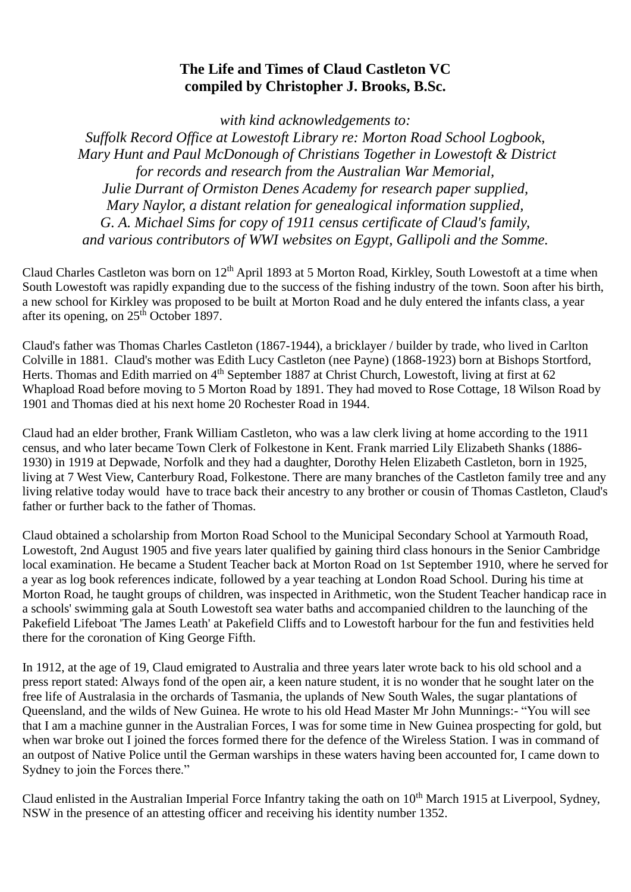## **The Life and Times of Claud Castleton VC compiled by Christopher J. Brooks, B.Sc.**

*with kind acknowledgements to: Suffolk Record Office at Lowestoft Library re: Morton Road School Logbook, Mary Hunt and Paul McDonough of Christians Together in Lowestoft & District for records and research from the Australian War Memorial, Julie Durrant of Ormiston Denes Academy for research paper supplied, Mary Naylor, a distant relation for genealogical information supplied, G. A. Michael Sims for copy of 1911 census certificate of Claud's family, and various contributors of WWI websites on Egypt, Gallipoli and the Somme.*

Claud Charles Castleton was born on 12<sup>th</sup> April 1893 at 5 Morton Road, Kirkley, South Lowestoft at a time when South Lowestoft was rapidly expanding due to the success of the fishing industry of the town. Soon after his birth, a new school for Kirkley was proposed to be built at Morton Road and he duly entered the infants class, a year after its opening, on  $25<sup>th</sup>$  October 1897.

Claud's father was Thomas Charles Castleton (1867-1944), a bricklayer / builder by trade, who lived in Carlton Colville in 1881. Claud's mother was Edith Lucy Castleton (nee Payne) (1868-1923) born at Bishops Stortford, Herts. Thomas and Edith married on 4<sup>th</sup> September 1887 at Christ Church, Lowestoft, living at first at 62 Whapload Road before moving to 5 Morton Road by 1891. They had moved to Rose Cottage, 18 Wilson Road by 1901 and Thomas died at his next home 20 Rochester Road in 1944.

Claud had an elder brother, Frank William Castleton, who was a law clerk living at home according to the 1911 census, and who later became Town Clerk of Folkestone in Kent. Frank married Lily Elizabeth Shanks (1886- 1930) in 1919 at Depwade, Norfolk and they had a daughter, Dorothy Helen Elizabeth Castleton, born in 1925, living at 7 West View, Canterbury Road, Folkestone. There are many branches of the Castleton family tree and any living relative today would have to trace back their ancestry to any brother or cousin of Thomas Castleton, Claud's father or further back to the father of Thomas.

Claud obtained a scholarship from Morton Road School to the Municipal Secondary School at Yarmouth Road, Lowestoft, 2nd August 1905 and five years later qualified by gaining third class honours in the Senior Cambridge local examination. He became a Student Teacher back at Morton Road on 1st September 1910, where he served for a year as log book references indicate, followed by a year teaching at London Road School. During his time at Morton Road, he taught groups of children, was inspected in Arithmetic, won the Student Teacher handicap race in a schools' swimming gala at South Lowestoft sea water baths and accompanied children to the launching of the Pakefield Lifeboat 'The James Leath' at Pakefield Cliffs and to Lowestoft harbour for the fun and festivities held there for the coronation of King George Fifth.

In 1912, at the age of 19, Claud emigrated to Australia and three years later wrote back to his old school and a press report stated: Always fond of the open air, a keen nature student, it is no wonder that he sought later on the free life of Australasia in the orchards of Tasmania, the uplands of New South Wales, the sugar plantations of Queensland, and the wilds of New Guinea. He wrote to his old Head Master Mr John Munnings:- "You will see that I am a machine gunner in the Australian Forces, I was for some time in New Guinea prospecting for gold, but when war broke out I joined the forces formed there for the defence of the Wireless Station. I was in command of an outpost of Native Police until the German warships in these waters having been accounted for, I came down to Sydney to join the Forces there."

Claud enlisted in the Australian Imperial Force Infantry taking the oath on 10<sup>th</sup> March 1915 at Liverpool, Sydney, NSW in the presence of an attesting officer and receiving his identity number 1352.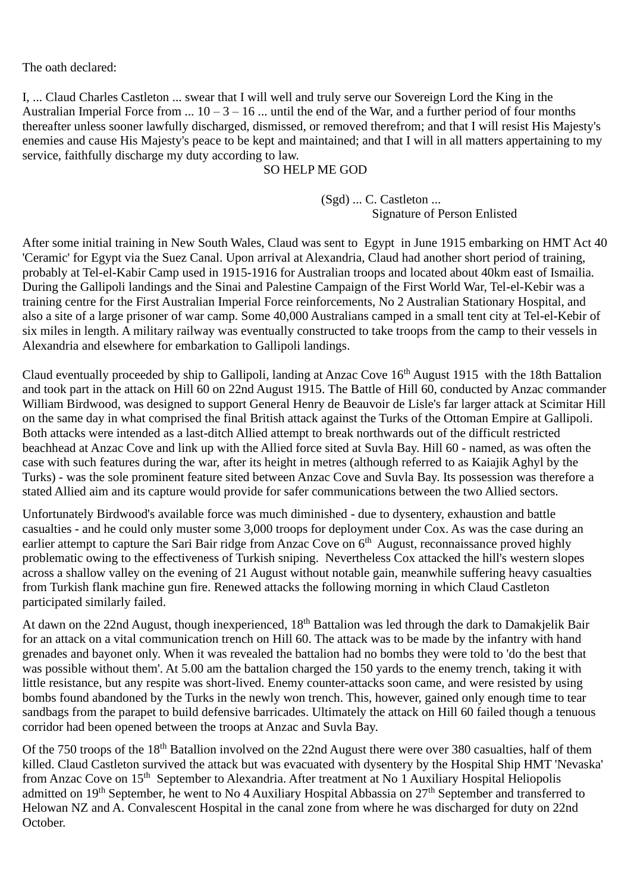The oath declared:

I, ... Claud Charles Castleton ... swear that I will well and truly serve our Sovereign Lord the King in the Australian Imperial Force from  $\dots$  10 – 3 – 16  $\dots$  until the end of the War, and a further period of four months thereafter unless sooner lawfully discharged, dismissed, or removed therefrom; and that I will resist His Majesty's enemies and cause His Majesty's peace to be kept and maintained; and that I will in all matters appertaining to my service, faithfully discharge my duty according to law.

## SO HELP ME GOD

 (Sgd) ... C. Castleton ... Signature of Person Enlisted

After some initial training in New South Wales, Claud was sent to Egypt in June 1915 embarking on HMT Act 40 'Ceramic' for Egypt via the Suez Canal. Upon arrival at Alexandria, Claud had another short period of training, probably at Tel-el-Kabir Camp used in 1915-1916 for Australian troops and located about 40km east of Ismailia. During the Gallipoli landings and the Sinai and Palestine Campaign of the First World War, Tel-el-Kebir was a training centre for the First Australian Imperial Force reinforcements, No 2 Australian Stationary Hospital, and also a site of a large prisoner of war camp. Some 40,000 Australians camped in a small tent city at Tel-el-Kebir of six miles in length. A military railway was eventually constructed to take troops from the camp to their vessels in Alexandria and elsewhere for embarkation to Gallipoli landings.

Claud eventually proceeded by ship to Gallipoli, landing at Anzac Cove 16<sup>th</sup> August 1915 with the 18th Battalion and took part in the attack on Hill 60 on 22nd August 1915. The Battle of Hill 60, conducted by Anzac commander [William Birdwood,](http://www.firstworldwar.com/bio/birdwood.htm) was designed to support General Henry de Beauvoir de Lisle's far larger attack at Scimitar Hill on the same day in what comprised the final British attack against the Turks of the Ottoman Empire at Gallipoli. Both attacks were intended as a last-ditch Allied attempt to break northwards out of the difficult restricted beachhead at [Anzac C](http://www.firstworldwar.com/battles/landings_apr15.htm)ove and link up with the Allied force sited at [Suvla Bay.](http://www.firstworldwar.com/battles/suvlabay.htm) Hill 60 - named, as was often the case with such features during the war, after its height in metres (although referred to as Kaiajik Aghyl by the Turks) - was the sole prominent feature sited between Anzac Cove and Suvla Bay. Its possession was therefore a stated Allied aim and its capture would provide for safer communications between the two Allied sectors.

Unfortunately Birdwood's available force was much diminished - due to dysentery, exhaustion and battle casualties - and he could only muster some 3,000 troops for deployment under Cox. As was the case during an earlier attempt to [capture the Sari Bair ri](http://www.firstworldwar.com/battles/saribair.htm)dge from Anzac Cove on 6<sup>th</sup> August, reconnaissance proved highly problematic owing to the effectiveness of Turkish [sniping.](http://www.firstworldwar.com/atoz/snipers.htm) Nevertheless Cox attacked the hill's western slopes across a shallow valley on the evening of 21 August without notable gain, meanwhile suffering heavy casualties from Turkish flank machine gun fire. Renewed attacks the following morning in which Claud Castleton participated similarly failed.

At dawn on the 22nd August, though inexperienced, 18<sup>th</sup> Battalion was led through the dark to Damakjelik Bair for an attack on a vital communication trench on Hill 60. The attack was to be made by the infantry with hand grenades and bayonet only. When it was revealed the battalion had no bombs they were told to 'do the best that was possible without them'. At 5.00 am the battalion charged the 150 yards to the enemy trench, taking it with little resistance, but any respite was short-lived. Enemy counter-attacks soon came, and were resisted by using bombs found abandoned by the Turks in the newly won trench. This, however, gained only enough time to tear sandbags from the parapet to build defensive barricades. Ultimately the attack on Hill 60 failed though a tenuous corridor had been opened between the troops at Anzac and Suvla Bay.

Of the 750 troops of the 18<sup>th</sup> Batallion involved on the 22nd August there were over 380 casualties, half of them killed. Claud Castleton survived the attack but was evacuated with dysentery by the Hospital Ship HMT 'Nevaska' from Anzac Cove on 15<sup>th</sup> September to Alexandria. After treatment at No 1 Auxiliary Hospital Heliopolis admitted on 19<sup>th</sup> September, he went to No 4 Auxiliary Hospital Abbassia on 27<sup>th</sup> September and transferred to Helowan NZ and A. Convalescent Hospital in the canal zone from where he was discharged for duty on 22nd October.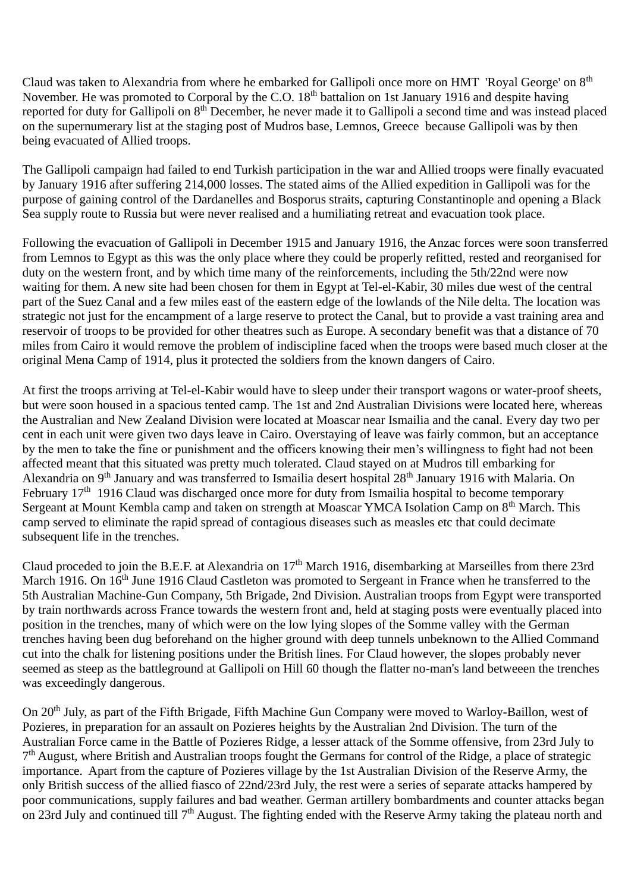Claud was taken to Alexandria from where he embarked for Gallipoli once more on HMT 'Royal George' on 8th November. He was promoted to Corporal by the C.O. 18<sup>th</sup> battalion on 1st January 1916 and despite having reported for duty for Gallipoli on 8<sup>th</sup> December, he never made it to Gallipoli a second time and was instead placed on the supernumerary list at the staging post of Mudros base, Lemnos, Greece because Gallipoli was by then being evacuated of Allied troops.

The Gallipoli campaign had failed to end Turkish participation in the war and Allied troops were finally evacuated by January 1916 after suffering 214,000 losses. The stated aims of the Allied expedition in Gallipoli was for the purpose of gaining control of the Dardanelles and Bosporus straits, capturing Constantinople and opening a Black Sea supply route to Russia but were never realised and a humiliating retreat and evacuation took place.

Following the evacuation of Gallipoli in December 1915 and January 1916, the Anzac forces were soon transferred from Lemnos to Egypt as this was the only place where they could be properly refitted, rested and reorganised for duty on the western front, and by which time many of the reinforcements, including the 5th/22nd were now waiting for them. A new site had been chosen for them in Egypt at Tel-el-Kabir, 30 miles due west of the central part of the Suez Canal and a few miles east of the eastern edge of the lowlands of the Nile delta. The location was strategic not just for the encampment of a large reserve to protect the Canal, but to provide a vast training area and reservoir of troops to be provided for other theatres such as Europe. A secondary benefit was that a distance of 70 miles from Cairo it would remove the problem of indiscipline faced when the troops were based much closer at the original Mena Camp of 1914, plus it protected the soldiers from the known dangers of Cairo.

At first the troops arriving at Tel-el-Kabir would have to sleep under their transport wagons or water-proof sheets, but were soon housed in a spacious tented camp. The 1st and 2nd Australian Divisions were located here, whereas the Australian and New Zealand Division were located at Moascar near Ismailia and the canal. Every day two per cent in each unit were given two days leave in Cairo. Overstaying of leave was fairly common, but an acceptance by the men to take the fine or punishment and the officers knowing their men's willingness to fight had not been affected meant that this situated was pretty much tolerated. Claud stayed on at Mudros till embarking for Alexandria on 9<sup>th</sup> January and was transferred to Ismailia desert hospital 28<sup>th</sup> January 1916 with Malaria. On February 17<sup>th</sup> 1916 Claud was discharged once more for duty from Ismailia hospital to become temporary Sergeant at Mount Kembla camp and taken on strength at Moascar YMCA Isolation Camp on 8<sup>th</sup> March. This camp served to eliminate the rapid spread of contagious diseases such as measles etc that could decimate subsequent life in the trenches.

Claud proceded to join the B.E.F. at Alexandria on 17<sup>th</sup> March 1916, disembarking at Marseilles from there 23rd March 1916. On 16<sup>th</sup> June 1916 Claud Castleton was promoted to Sergeant in France when he transferred to the 5th Australian Machine-Gun Company, 5th Brigade, 2nd Division. Australian troops from Egypt were transported by train northwards across France towards the western front and, held at staging posts were eventually placed into position in the trenches, many of which were on the low lying slopes of the Somme valley with the German trenches having been dug beforehand on the higher ground with deep tunnels unbeknown to the Allied Command cut into the chalk for listening positions under the British lines. For Claud however, the slopes probably never seemed as steep as the battleground at Gallipoli on Hill 60 though the flatter no-man's land betweeen the trenches was exceedingly dangerous.

On 20<sup>th</sup> July, as part of the Fifth Brigade, Fifth Machine Gun Company were moved to Warloy-Baillon, west of Pozieres, in preparation for an assault on Pozieres heights by the Australian 2nd Division. The turn of the Australian Force came in the Battle of Pozieres Ridge, a lesser attack of the Somme offensive, from 23rd July to 7<sup>th</sup> August, where British and Australian troops fought the Germans for control of the Ridge, a place of strategic importance. Apart from the capture of Pozieres village by the 1st Australian Division of the Reserve Army, the only British success of the allied fiasco of 22nd/23rd July, the rest were a series of separate attacks hampered by poor communications, supply failures and bad weather. German artillery bombardments and counter attacks began on 23rd July and continued till 7<sup>th</sup> August. The fighting ended with the Reserve Army taking the plateau north and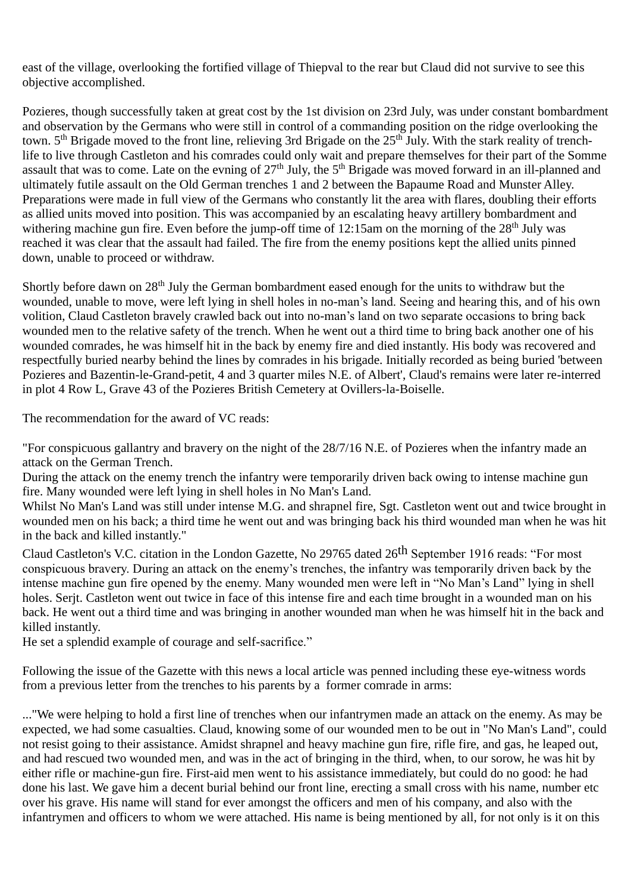east of the village, overlooking the fortified village of Thiepval to the rear but Claud did not survive to see this objective accomplished.

Pozieres, though successfully taken at great cost by the 1st division on 23rd July, was under constant bombardment and observation by the Germans who were still in control of a commanding position on the ridge overlooking the town. 5<sup>th</sup> Brigade moved to the front line, relieving 3rd Brigade on the 25<sup>th</sup> July. With the stark reality of trenchlife to live through Castleton and his comrades could only wait and prepare themselves for their part of the Somme assault that was to come. Late on the evning of  $27<sup>th</sup>$  July, the  $5<sup>th</sup>$  Brigade was moved forward in an ill-planned and ultimately futile assault on the Old German trenches 1 and 2 between the Bapaume Road and Munster Alley. Preparations were made in full view of the Germans who constantly lit the area with flares, doubling their efforts as allied units moved into position. This was accompanied by an escalating heavy artillery bombardment and withering machine gun fire. Even before the jump-off time of 12:15am on the morning of the 28<sup>th</sup> July was reached it was clear that the assault had failed. The fire from the enemy positions kept the allied units pinned down, unable to proceed or withdraw.

Shortly before dawn on 28<sup>th</sup> July the German bombardment eased enough for the units to withdraw but the wounded, unable to move, were left lying in shell holes in no-man's land. Seeing and hearing this, and of his own volition, Claud Castleton bravely crawled back out into no-man's land on two separate occasions to bring back wounded men to the relative safety of the trench. When he went out a third time to bring back another one of his wounded comrades, he was himself hit in the back by enemy fire and died instantly. His body was recovered and respectfully buried nearby behind the lines by comrades in his brigade. Initially recorded as being buried 'between Pozieres and Bazentin-le-Grand-petit, 4 and 3 quarter miles N.E. of Albert', Claud's remains were later re-interred in plot 4 Row L, Grave 43 of the Pozieres British Cemetery at Ovillers-la-Boiselle.

The recommendation for the award of VC reads:

"For conspicuous gallantry and bravery on the night of the 28/7/16 N.E. of Pozieres when the infantry made an attack on the German Trench.

During the attack on the enemy trench the infantry were temporarily driven back owing to intense machine gun fire. Many wounded were left lying in shell holes in No Man's Land.

Whilst No Man's Land was still under intense M.G. and shrapnel fire, Sgt. Castleton went out and twice brought in wounded men on his back; a third time he went out and was bringing back his third wounded man when he was hit in the back and killed instantly."

Claud Castleton's V.C. citation in the London Gazette, No 29765 dated 26th September 1916 reads: "For most conspicuous bravery. During an attack on the enemy's trenches, the infantry was temporarily driven back by the intense machine gun fire opened by the enemy. Many wounded men were left in "No Man's Land" lying in shell holes. Serit. Castleton went out twice in face of this intense fire and each time brought in a wounded man on his back. He went out a third time and was bringing in another wounded man when he was himself hit in the back and killed instantly.

He set a splendid example of courage and self-sacrifice."

Following the issue of the Gazette with this news a local article was penned including these eye-witness words from a previous letter from the trenches to his parents by a former comrade in arms:

..."We were helping to hold a first line of trenches when our infantrymen made an attack on the enemy. As may be expected, we had some casualties. Claud, knowing some of our wounded men to be out in "No Man's Land", could not resist going to their assistance. Amidst shrapnel and heavy machine gun fire, rifle fire, and gas, he leaped out, and had rescued two wounded men, and was in the act of bringing in the third, when, to our sorow, he was hit by either rifle or machine-gun fire. First-aid men went to his assistance immediately, but could do no good: he had done his last. We gave him a decent burial behind our front line, erecting a small cross with his name, number etc over his grave. His name will stand for ever amongst the officers and men of his company, and also with the infantrymen and officers to whom we were attached. His name is being mentioned by all, for not only is it on this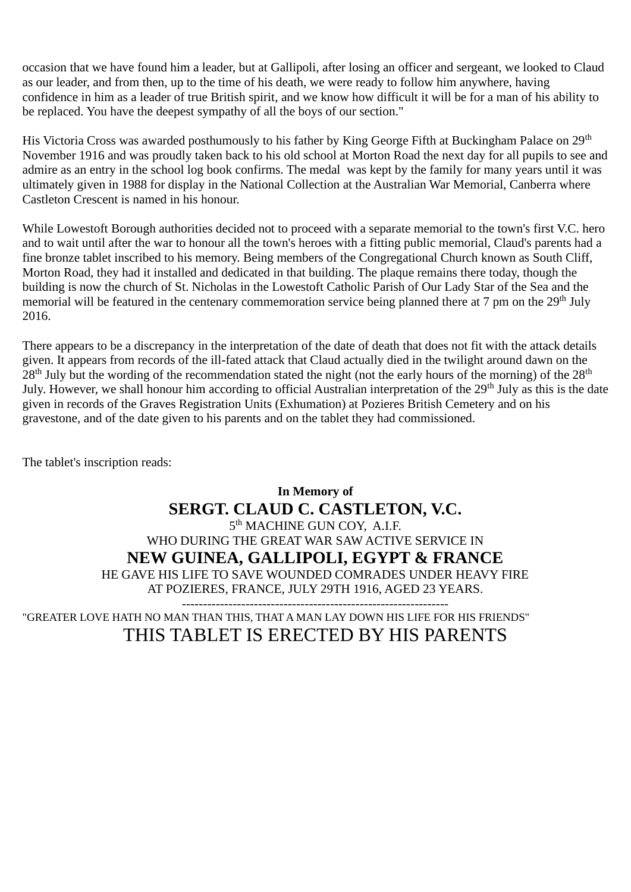occasion that we have found him a leader, but at Gallipoli, after losing an officer and sergeant, we looked to Claud as our leader, and from then, up to the time of his death, we were ready to follow him anywhere, having confidence in him as a leader of true British spirit, and we know how difficult it will be for a man of his ability to be replaced. You have the deepest sympathy of all the boys of our section."

His Victoria Cross was awarded posthumously to his father by King George Fifth at Buckingham Palace on 29<sup>th</sup> November 1916 and was proudly taken back to his old school at Morton Road the next day for all pupils to see and admire as an entry in the school log book confirms. The medal was kept by the family for many years until it was ultimately given in 1988 for display in the National Collection at the Australian War Memorial, Canberra where Castleton Crescent is named in his honour.

While Lowestoft Borough authorities decided not to proceed with a separate memorial to the town's first V.C. hero and to wait until after the war to honour all the town's heroes with a fitting public memorial, Claud's parents had a fine bronze tablet inscribed to his memory. Being members of the Congregational Church known as South Cliff, Morton Road, they had it installed and dedicated in that building. The plaque remains there today, though the building is now the church of St. Nicholas in the Lowestoft Catholic Parish of Our Lady Star of the Sea and the memorial will be featured in the centenary commemoration service being planned there at 7 pm on the 29<sup>th</sup> July 2016.

There appears to be a discrepancy in the interpretation of the date of death that does not fit with the attack details given. It appears from records of the ill-fated attack that Claud actually died in the twilight around dawn on the 28<sup>th</sup> July but the wording of the recommendation stated the night (not the early hours of the morning) of the 28<sup>th</sup> July. However, we shall honour him according to official Australian interpretation of the 29<sup>th</sup> July as this is the date given in records of the Graves Registration Units (Exhumation) at Pozieres British Cemetery and on his gravestone, and of the date given to his parents and on the tablet they had commissioned.

The tablet's inscription reads:

## **In Memory of SERGT. CLAUD C. CASTLETON, V.C.** 5<sup>th</sup> MACHINE GUN COY, A.I.F. WHO DURING THE GREAT WAR SAW ACTIVE SERVICE IN **NEW GUINEA, GALLIPOLI, EGYPT & FRANCE** HE GAVE HIS LIFE TO SAVE WOUNDED COMRADES UNDER HEAVY FIRE AT POZIERES, FRANCE, JULY 29TH 1916, AGED 23 YEARS.

--------------------------------------------------------------- "GREATER LOVE HATH NO MAN THAN THIS, THAT A MAN LAY DOWN HIS LIFE FOR HIS FRIENDS" THIS TABLET IS ERECTED BY HIS PARENTS